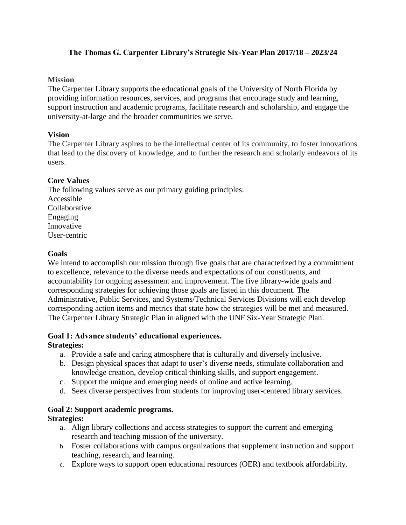## **The Thomas G. Carpenter Library's Strategic Six-Year Plan 2017/18 – 2023/24**

#### **Mission**

The Carpenter Library supports the educational goals of the University of North Florida by providing information resources, services, and programs that encourage study and learning, support instruction and academic programs, facilitate research and scholarship, and engage the university-at-large and the broader communities we serve.

### **Vision**

The Carpenter Library aspires to be the intellectual center of its community, to foster innovations that lead to the discovery of knowledge, and to further the research and scholarly endeavors of its users.

#### **Core Values**

The following values serve as our primary guiding principles: Accessible Collaborative Engaging Innovative User-centric

#### **Goals**

We intend to accomplish our mission through five goals that are characterized by a commitment to excellence, relevance to the diverse needs and expectations of our constituents, and accountability for ongoing assessment and improvement. The five library-wide goals and corresponding strategies for achieving those goals are listed in this document. The Administrative, Public Services, and Systems/Technical Services Divisions will each develop corresponding action items and metrics that state how the strategies will be met and measured. The Carpenter Library Strategic Plan in aligned with the UNF Six-Year Strategic Plan.

# **Goal 1: Advance students' educational experiences.**

### **Strategies:**

- a. Provide a safe and caring atmosphere that is culturally and diversely inclusive.
- b. Design physical spaces that adapt to user's diverse needs, stimulate collaboration and knowledge creation, develop critical thinking skills, and support engagement.
- c. Support the unique and emerging needs of online and active learning.
- d. Seek diverse perspectives from students for improving user-centered library services.

### **Goal 2: Support academic programs.**

### **Strategies:**

- a. Align library collections and access strategies to support the current and emerging research and teaching mission of the university.
- b. Foster collaborations with campus organizations that supplement instruction and support teaching, research, and learning.
- c. Explore ways to support open educational resources (OER) and textbook affordability.